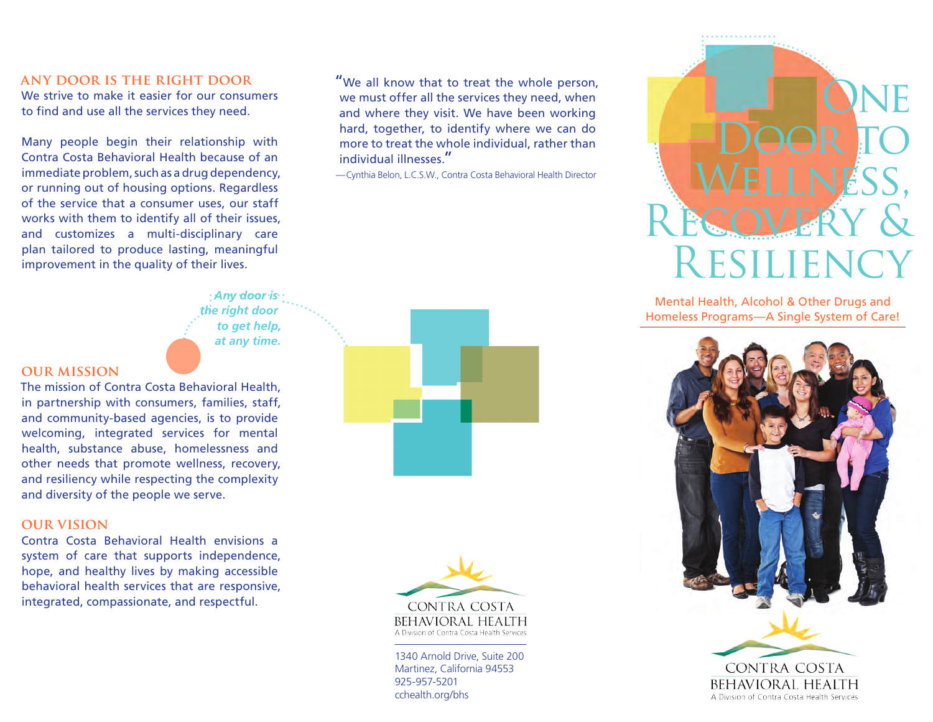### **any door is the right door**

We strive to make it easier for our consumers to find and use all the services they need.

Many people begin their relationship with Contra Costa Behavioral Health because of an immediate problem, such as a drug dependency, or running out of housing options. Regardless of the service that a consumer uses, our staff works with them to identify all of their issues, and customizes a multi-disciplinary care plan tailored to produce lasting, meaningful improvement in the quality of their lives.

> *Any door is the right door to get help, at any time.*

#### **our mission**

The mission of Contra Costa Behavioral Health, in partnership with consumers, families, staff, and community-based agencies, is to provide welcoming, integrated services for mental health, substance abuse, homelessness and other needs that promote wellness, recovery, and resiliency while respecting the complexity and diversity of the people we serve.

#### **our vision**

Contra Costa Behavioral Health envisions a system of care that supports independence, hope, and healthy lives by making accessible behavioral health services that are responsive, integrated, compassionate, and respectful.

"We all know that to treat the whole person, we must offer all the services they need, when and where they visit. We have been working hard, together, to identify where we can do more to treat the whole individual, rather than individual illnesses."

—Cynthia Belon, L.C.S.W., Contra Costa Behavioral Health Director





1340 Arnold Drive, Suite 200 Martinez, California 94553 925-957-5201 cchealth.org/bhs



Mental Health, Alcohol & Other Drugs and Homeless Programs—A Single System of Care!